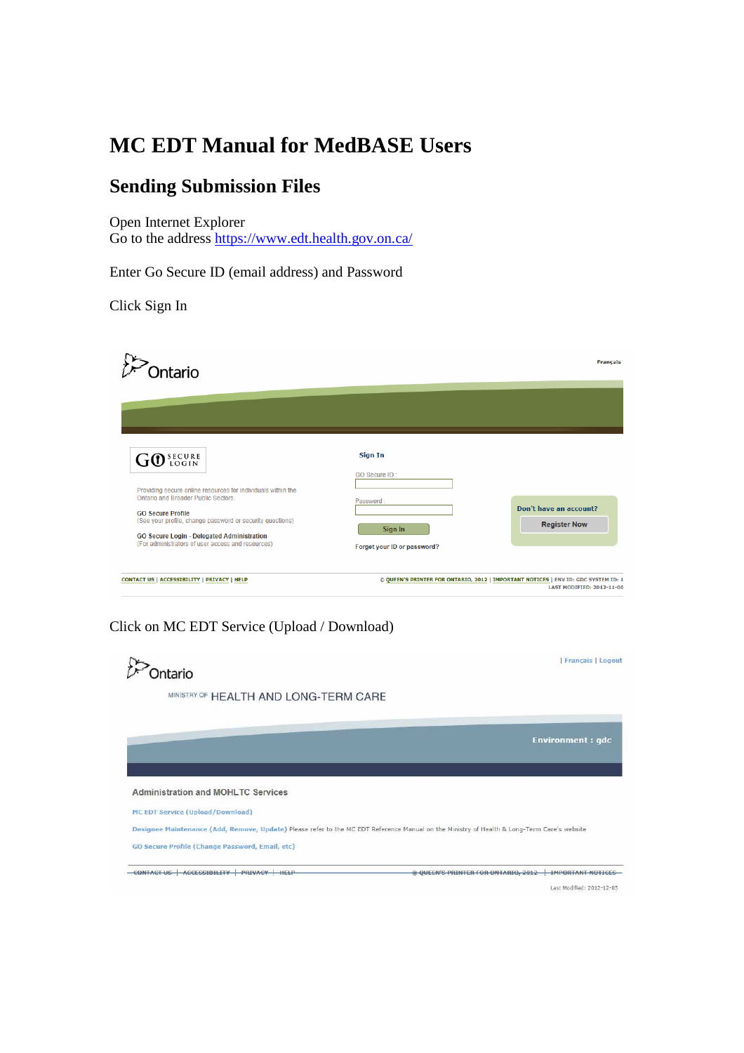# **MC EDT Manual for MedBASE Users**

### **Sending Submission Files**

Open Internet Explorer Go to the address https://www.edt.health.gov.on.ca/

Enter Go Secure ID (email address) and Password

Click Sign In

| <b>Intario</b>                                                                                                                                                                              |                                 | <b>Français</b>                                                                                                        |
|---------------------------------------------------------------------------------------------------------------------------------------------------------------------------------------------|---------------------------------|------------------------------------------------------------------------------------------------------------------------|
|                                                                                                                                                                                             |                                 |                                                                                                                        |
| GO SECURE                                                                                                                                                                                   | <b>Sign In</b><br>GO Secure ID: |                                                                                                                        |
| Providing secure online resources for individuals within the<br>Ontario and Broader Public Sectors<br><b>GO Secure Profile</b><br>(See your profile, change password or security questions) | Password:<br>Sign In            | Don't have an account?<br><b>Register Now</b>                                                                          |
| <b>GO Secure Login - Delegated Administration</b><br>(For administrators of user access and resources)                                                                                      | Forget your ID or password?     |                                                                                                                        |
| CONTACT US   ACCESSIBILITY   PRIVACY   HELP                                                                                                                                                 |                                 | @ QUEEN'S PRINTER FOR ONTARIO, 2012   IMPORTANT NOTICES   ENV ID: GDC SYSTEM ID: 1<br><b>LAST MODIFIED: 2012-11-06</b> |

#### Click on MC EDT Service (Upload / Download)

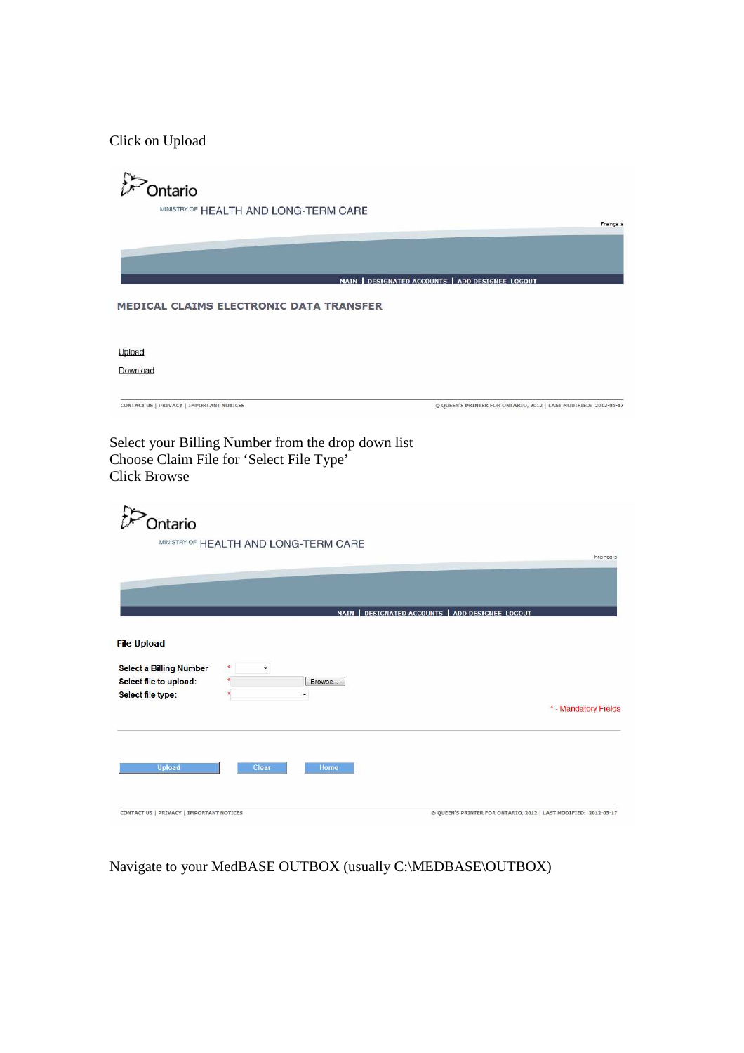Click on Upload

| <b>Ontario</b>                                                                                                              |                                                                 |
|-----------------------------------------------------------------------------------------------------------------------------|-----------------------------------------------------------------|
| MINISTRY OF HEALTH AND LONG-TERM CARE                                                                                       | Français                                                        |
|                                                                                                                             |                                                                 |
|                                                                                                                             | MAIN   DESIGNATED ACCOUNTS   ADD DESIGNEE LOGOUT                |
| <b>MEDICAL CLAIMS ELECTRONIC DATA TRANSFER</b>                                                                              |                                                                 |
| Upload                                                                                                                      |                                                                 |
| Download                                                                                                                    |                                                                 |
| CONTACT US   PRIVACY   IMPORTANT NOTICES                                                                                    | © QUEEN'S PRINTER FOR ONTARIO, 2012   LAST MODIFIED: 2012-05-17 |
| Choose Claim File for 'Select File Type'<br><b>Click Browse</b><br><b>Dontario</b><br>MINISTRY OF HEALTH AND LONG-TERM CARE |                                                                 |
|                                                                                                                             | Français                                                        |
|                                                                                                                             | MAIN   DESIGNATED ACCOUNTS   ADD DESIGNEE LOGOUT                |
| <b>File Upload</b>                                                                                                          |                                                                 |
| <b>Select a Billing Number</b><br>Select file to upload:<br>Browse<br>Select file type:<br>$\overline{\phantom{a}}$         |                                                                 |
|                                                                                                                             | * - Mandatory Fields                                            |
| Upload<br>Clear<br>Home                                                                                                     |                                                                 |
| CONTACT US   PRIVACY   IMPORTANT NOTICES                                                                                    | © QUEEN'S PRINTER FOR ONTARIO, 2012   LAST MODIFIED: 2012-05-17 |

Navigate to your MedBASE OUTBOX (usually C:\MEDBASE\OUTBOX)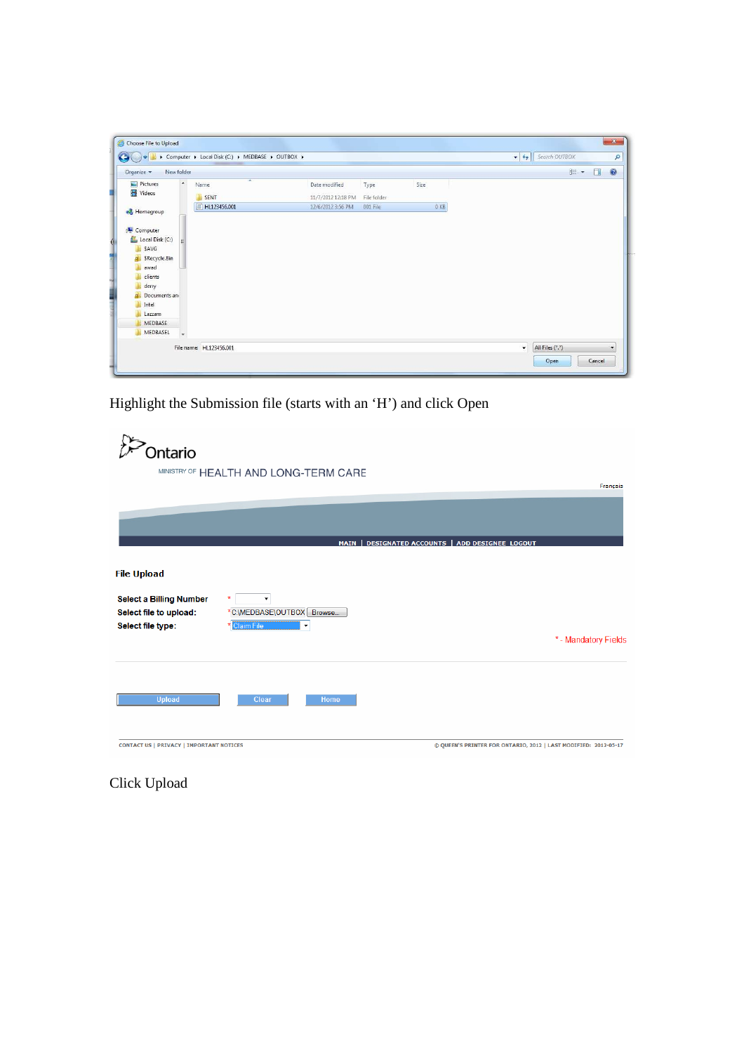| New folder<br>Organize v        |                                  |                    |             |        | $\equiv$ $\sim$<br>$\Box$ | $\circledcirc$ |
|---------------------------------|----------------------------------|--------------------|-------------|--------|---------------------------|----------------|
| $\blacktriangle$<br>Pictures    | $\overline{\phantom{a}}$<br>Name | Date modified      | Type        | Size   |                           |                |
| Videos                          | SENT                             | 11/7/2012 12:18 PM | File folder |        |                           |                |
| Homegroup                       | HL123456.001                     | 12/6/2012 3:56 PM  | 001 File    | $0$ KB |                           |                |
|                                 |                                  |                    |             |        |                           |                |
| Computer                        |                                  |                    |             |        |                           |                |
|                                 |                                  |                    |             |        |                           |                |
|                                 |                                  |                    |             |        |                           |                |
| SAVG                            |                                  |                    |             |        |                           |                |
| Local Disk (C:)<br>SRecycle.Bin |                                  |                    |             |        |                           |                |
| awad                            |                                  |                    |             |        |                           |                |
| clients                         |                                  |                    |             |        |                           |                |
| derry                           |                                  |                    |             |        |                           |                |
| Documents and                   |                                  |                    |             |        |                           |                |
| Intel                           |                                  |                    |             |        |                           |                |
| Lazzam                          |                                  |                    |             |        |                           |                |
| <b>MEDBASE</b>                  |                                  |                    |             |        |                           |                |

Highlight the Submission file (starts with an 'H') and click Open

| <b>Intario</b>                                                                |                                                                          |                                                                 |
|-------------------------------------------------------------------------------|--------------------------------------------------------------------------|-----------------------------------------------------------------|
|                                                                               | MINISTRY OF HEALTH AND LONG-TERM CARE                                    | Français                                                        |
|                                                                               |                                                                          |                                                                 |
|                                                                               |                                                                          | MAIN   DESIGNATED ACCOUNTS   ADD DESIGNEE LOGOUT                |
| <b>File Upload</b>                                                            |                                                                          |                                                                 |
| <b>Select a Billing Number</b><br>Select file to upload:<br>Select file type: | $\pmb{\ast}$<br>٠<br>*C:\MEDBASE\OUTBOX   Browse<br>Claim File<br>×<br>▼ |                                                                 |
|                                                                               |                                                                          | * - Mandatory Fields                                            |
| <b>Upload</b>                                                                 | Clear<br>Home                                                            |                                                                 |
| <b>CONTACT US   PRIVACY   IMPORTANT NOTICES</b>                               |                                                                          | © QUEEN'S PRINTER FOR ONTARIO, 2012   LAST MODIFIED: 2012-05-17 |

Click Upload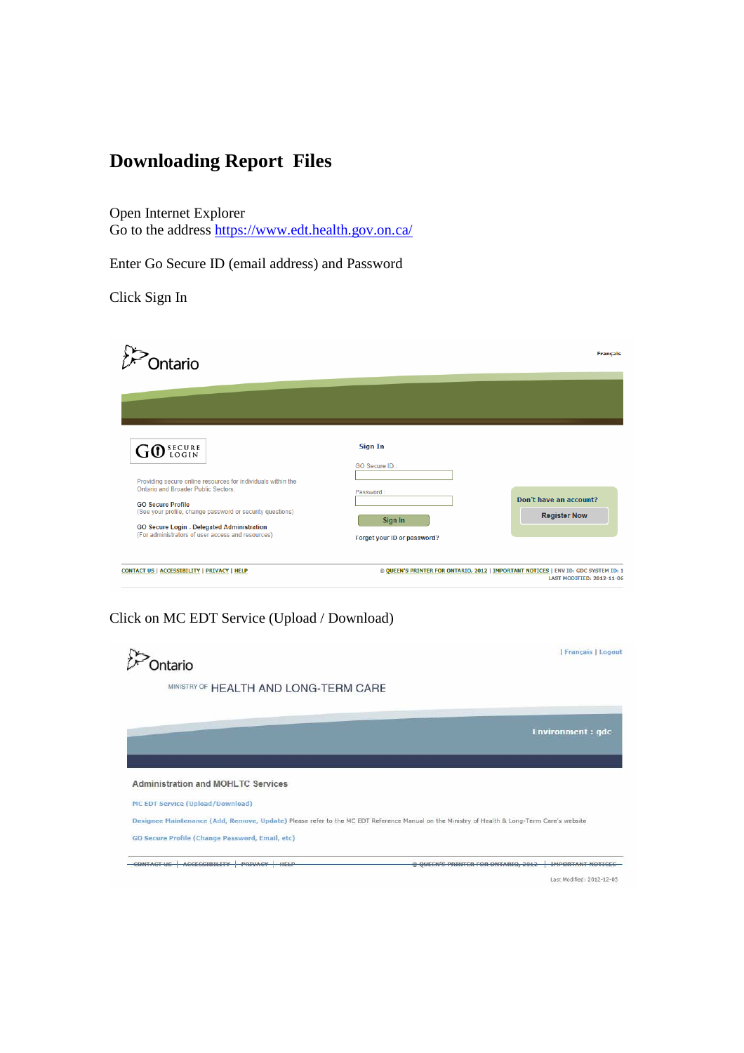## **Downloading Report Files**

Open Internet Explorer Go to the address https://www.edt.health.gov.on.ca/

Enter Go Secure ID (email address) and Password

Click Sign In

| )ntario                                                                                                                                                                                                                                                                                                     |                                                                                        | <b>Français</b>                                                                                                        |
|-------------------------------------------------------------------------------------------------------------------------------------------------------------------------------------------------------------------------------------------------------------------------------------------------------------|----------------------------------------------------------------------------------------|------------------------------------------------------------------------------------------------------------------------|
| GO SECURE<br>Providing secure online resources for individuals within the<br>Ontario and Broader Public Sectors<br><b>GO Secure Profile</b><br>(See your profile, change password or security questions)<br>GO Secure Login - Delegated Administration<br>(For administrators of user access and resources) | <b>Sign In</b><br>GO Secure ID:<br>Password:<br>Sign In<br>Forget your ID or password? | Don't have an account?<br><b>Register Now</b>                                                                          |
| CONTACT US   ACCESSIBILITY   PRIVACY   HELP                                                                                                                                                                                                                                                                 |                                                                                        | @ QUEEN'S PRINTER FOR ONTARIO, 2012   IMPORTANT NOTICES   ENV ID: GDC SYSTEM ID: 1<br><b>LAST MODIFIED: 2012-11-06</b> |

#### Click on MC EDT Service (Upload / Download)

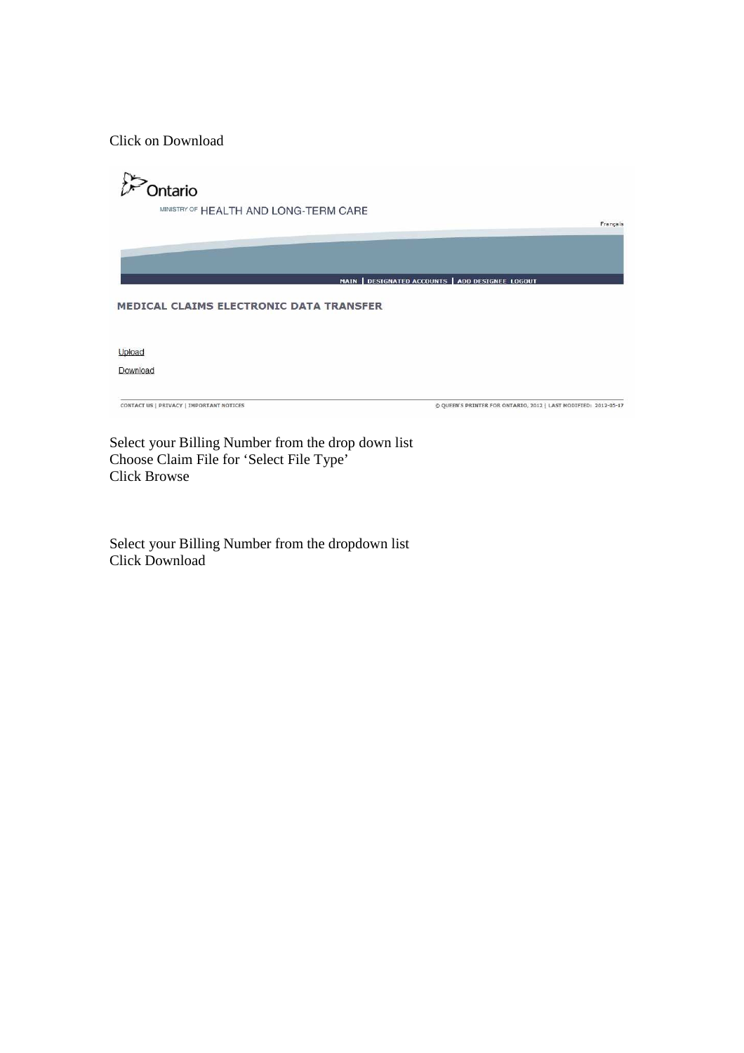Click on Download

 $\mathcal{D}$ Ontario MINISTRY OF HEALTH AND LONG-TERM CARE Français MAIN | DESIGNATED ACCOUNTS | ADD DESIGNEE LOGOUT MEDICAL CLAIMS ELECTRONIC DATA TRANSFER Upload Download **CONTACT US | PRIVACY | IMPORTANT NOTICES** © QUEEN'S PRINTER FOR ONTARIO, 2012 | LAST MODIFIED: 2012-05-17 Select your Billing Number from the drop down list

Choose Claim File for 'Select File Type' Click Browse

Select your Billing Number from the dropdown list Click Download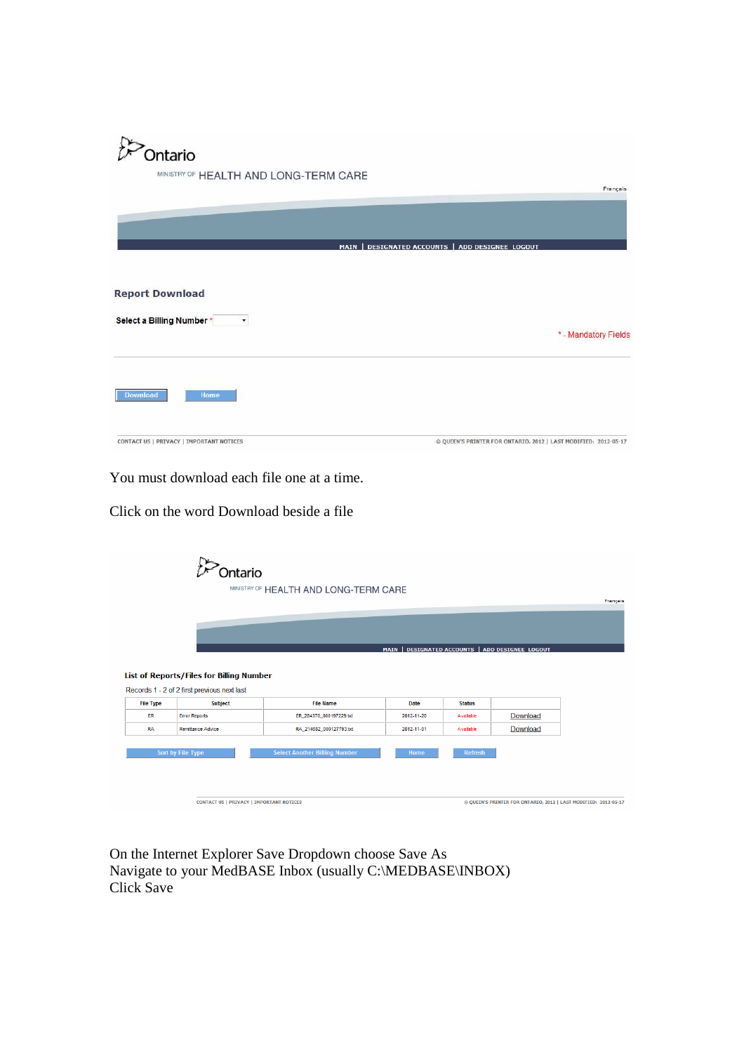

MINISTRY OF HEALTH AND LONG-TERM CARE

|                                                     | MAIN   DESIGNATED ACCOUNTS   ADD DESIGNEE LOGOUT                |
|-----------------------------------------------------|-----------------------------------------------------------------|
| <b>Report Download</b><br>Select a Billing Number * | * - Mandatory Fields                                            |
| <b>Download</b><br>Home                             |                                                                 |
| CONTACT US   PRIVACY   IMPORTANT NOTICES            | © QUEEN'S PRINTER FOR ONTARIO, 2012   LAST MODIFIED: 2012-05-17 |

Français

You must download each file one at a time.

Click on the word Download beside a file

|                  | Ontario                                         |                                       |             |                |                                                                 |          |
|------------------|-------------------------------------------------|---------------------------------------|-------------|----------------|-----------------------------------------------------------------|----------|
|                  |                                                 | MINISTRY OF HEALTH AND LONG-TERM CARE |             |                |                                                                 | Français |
|                  |                                                 |                                       |             |                |                                                                 |          |
|                  |                                                 |                                       |             |                |                                                                 |          |
|                  |                                                 |                                       |             |                |                                                                 |          |
|                  |                                                 |                                       |             |                | MAIN   DESIGNATED ACCOUNTS   ADD DESIGNEE LOGOUT                |          |
|                  | List of Reports/Files for Billing Number        |                                       |             |                |                                                                 |          |
|                  | Records 1 - 2 of 2 first previous next last     |                                       |             |                |                                                                 |          |
| <b>File Type</b> | <b>Subject</b>                                  | <b>File Name</b>                      | <b>Date</b> | <b>Status</b>  |                                                                 |          |
| ER               | <b>Error Reports</b>                            | ER_284370_000197229.txt               | 2012-11-20  | Available      | Download                                                        |          |
| <b>RA</b>        | <b>Remittance Advice</b>                        | RA_214682_000127793.txt               | 2012-11-01  | Available      | Download                                                        |          |
|                  |                                                 |                                       | Home        |                |                                                                 |          |
|                  | Sort by File Type                               | <b>Select Another Billing Number</b>  |             | <b>Refresh</b> |                                                                 |          |
|                  |                                                 |                                       |             |                |                                                                 |          |
|                  |                                                 |                                       |             |                |                                                                 |          |
|                  | <b>CONTACT US   PRIVACY   IMPORTANT NOTICES</b> |                                       |             |                | © QUEEN'S PRINTER FOR ONTARIO, 2012   LAST MODIFIED: 2012-05-17 |          |

On the Internet Explorer Save Dropdown choose Save As Navigate to your MedBASE Inbox (usually C:\MEDBASE\INBOX) Click Save